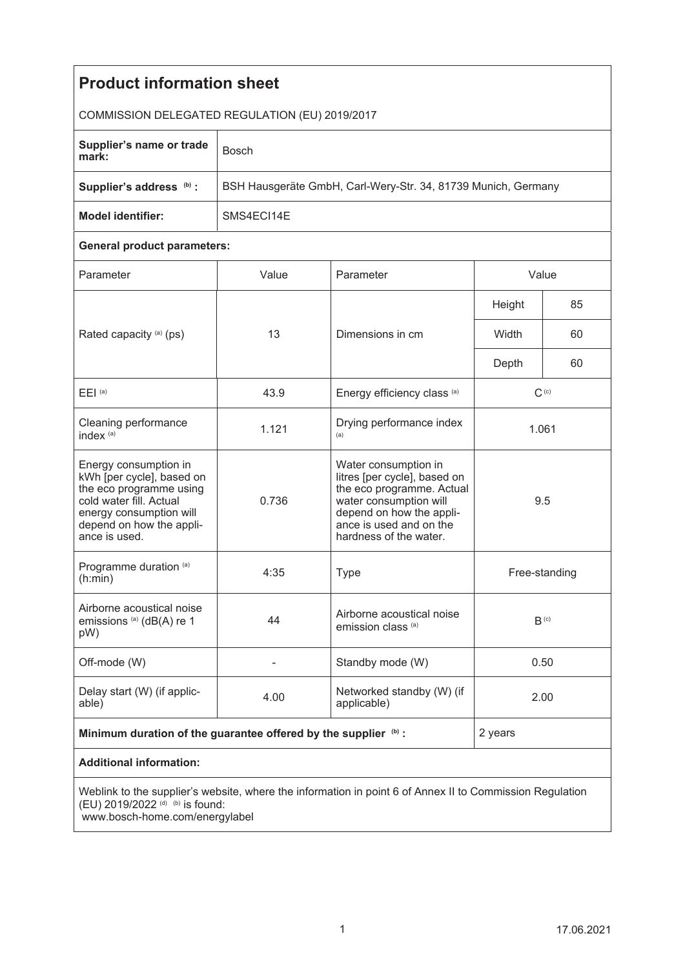| <b>Product information sheet</b>                                                                                                                                                 |                                                               |                                                                                                                                                                                              |                  |    |
|----------------------------------------------------------------------------------------------------------------------------------------------------------------------------------|---------------------------------------------------------------|----------------------------------------------------------------------------------------------------------------------------------------------------------------------------------------------|------------------|----|
| COMMISSION DELEGATED REGULATION (EU) 2019/2017                                                                                                                                   |                                                               |                                                                                                                                                                                              |                  |    |
| Supplier's name or trade<br>mark:                                                                                                                                                | <b>Bosch</b>                                                  |                                                                                                                                                                                              |                  |    |
| Supplier's address (b) :                                                                                                                                                         | BSH Hausgeräte GmbH, Carl-Wery-Str. 34, 81739 Munich, Germany |                                                                                                                                                                                              |                  |    |
| <b>Model identifier:</b>                                                                                                                                                         | SMS4EC114E                                                    |                                                                                                                                                                                              |                  |    |
| <b>General product parameters:</b>                                                                                                                                               |                                                               |                                                                                                                                                                                              |                  |    |
| Parameter                                                                                                                                                                        | Value                                                         | Parameter                                                                                                                                                                                    | Value            |    |
| Rated capacity (a) (ps)                                                                                                                                                          | 13                                                            | Dimensions in cm                                                                                                                                                                             | Height           | 85 |
|                                                                                                                                                                                  |                                                               |                                                                                                                                                                                              | Width            | 60 |
|                                                                                                                                                                                  |                                                               |                                                                                                                                                                                              | Depth            | 60 |
| E EI <sup>(a)</sup>                                                                                                                                                              | 43.9                                                          | Energy efficiency class (a)                                                                                                                                                                  | $C^{(c)}$        |    |
| Cleaning performance<br>index <sup>(a)</sup>                                                                                                                                     | 1.121                                                         | Drying performance index<br>(a)                                                                                                                                                              | 1.061            |    |
| Energy consumption in<br>kWh [per cycle], based on<br>the eco programme using<br>cold water fill. Actual<br>energy consumption will<br>depend on how the appli-<br>ance is used. | 0.736                                                         | Water consumption in<br>litres [per cycle], based on<br>the eco programme. Actual<br>water consumption will<br>depend on how the appli-<br>ance is used and on the<br>hardness of the water. | 9.5              |    |
| Programme duration (a)<br>(h:min)                                                                                                                                                | 4:35                                                          | <b>Type</b>                                                                                                                                                                                  | Free-standing    |    |
| Airborne acoustical noise<br>emissions <sup>(a)</sup> (dB(A) re 1<br>pW)                                                                                                         | 44                                                            | Airborne acoustical noise<br>emission class (a)                                                                                                                                              | B <sub>(c)</sub> |    |
| Off-mode (W)                                                                                                                                                                     |                                                               | Standby mode (W)                                                                                                                                                                             | 0.50             |    |
| Delay start (W) (if applic-<br>able)                                                                                                                                             | 4.00                                                          | Networked standby (W) (if<br>applicable)                                                                                                                                                     | 2.00             |    |
| Minimum duration of the guarantee offered by the supplier (b) :                                                                                                                  |                                                               |                                                                                                                                                                                              | 2 years          |    |
| <b>Additional information:</b>                                                                                                                                                   |                                                               |                                                                                                                                                                                              |                  |    |
| Weblink to the supplier's website, where the information in point 6 of Annex II to Commission Regulation<br>(EU) 2019/2022 (d) (b) is found:<br>www.bosch-home.com/energylabel   |                                                               |                                                                                                                                                                                              |                  |    |